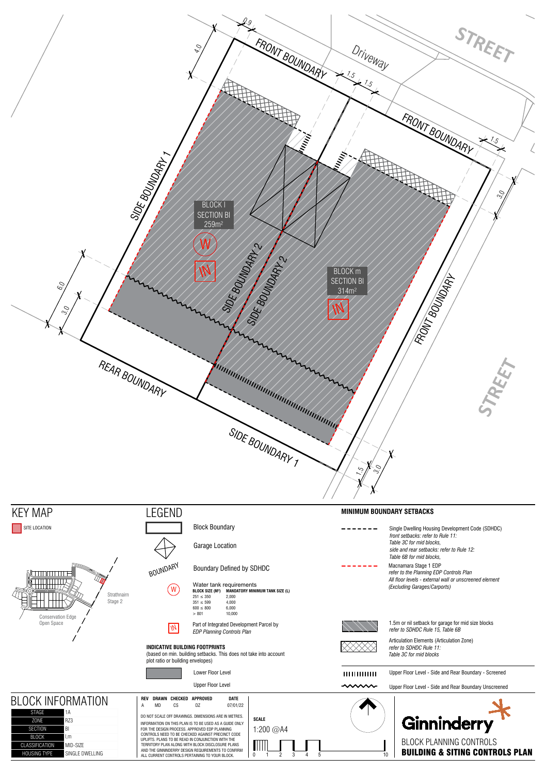